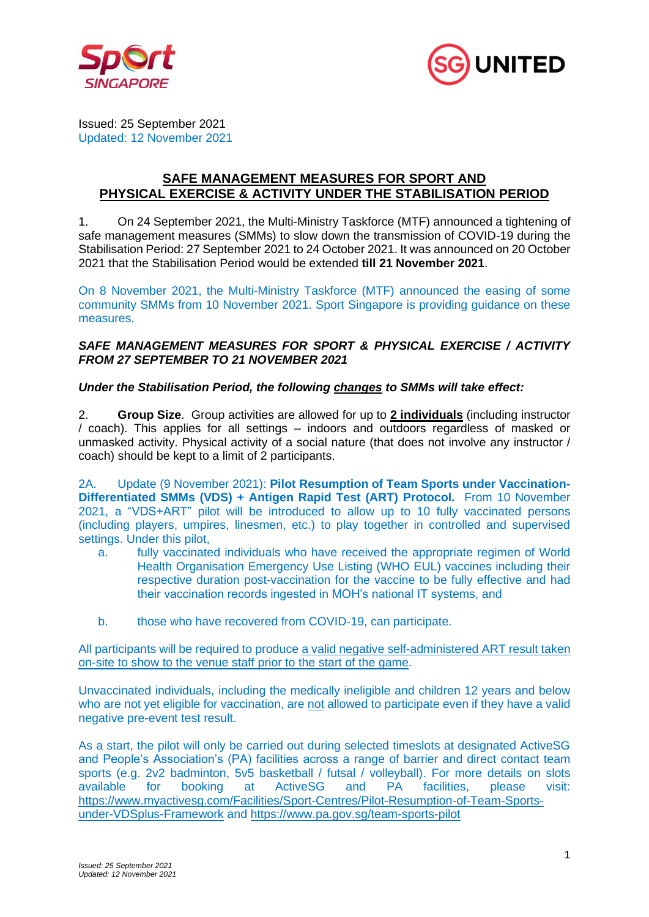



Issued: 25 September 2021 Updated: 12 November 2021

# **SAFE MANAGEMENT MEASURES FOR SPORT AND PHYSICAL EXERCISE & ACTIVITY UNDER THE STABILISATION PERIOD**

1. On 24 September 2021, the Multi-Ministry Taskforce (MTF) announced a tightening of safe management measures (SMMs) to slow down the transmission of COVID-19 during the Stabilisation Period: 27 September 2021 to 24 October 2021. It was announced on 20 October 2021 that the Stabilisation Period would be extended **till 21 November 2021**.

On 8 November 2021, the Multi-Ministry Taskforce (MTF) announced the easing of some community SMMs from 10 November 2021. Sport Singapore is providing guidance on these measures.

### *SAFE MANAGEMENT MEASURES FOR SPORT & PHYSICAL EXERCISE / ACTIVITY FROM 27 SEPTEMBER TO 21 NOVEMBER 2021*

# *Under the Stabilisation Period, the following changes to SMMs will take effect:*

2. **Group Size**. Group activities are allowed for up to **2 individuals** (including instructor / coach). This applies for all settings – indoors and outdoors regardless of masked or unmasked activity. Physical activity of a social nature (that does not involve any instructor / coach) should be kept to a limit of 2 participants.

2A. Update (9 November 2021): **Pilot Resumption of Team Sports under Vaccination-Differentiated SMMs (VDS) + Antigen Rapid Test (ART) Protocol.** From 10 November 2021, a "VDS+ART" pilot will be introduced to allow up to 10 fully vaccinated persons (including players, umpires, linesmen, etc.) to play together in controlled and supervised settings. Under this pilot,

- a. fully vaccinated individuals who have received the appropriate regimen of World Health Organisation Emergency Use Listing (WHO EUL) vaccines including their respective duration post-vaccination for the vaccine to be fully effective and had their vaccination records ingested in MOH's national IT systems, and
- b. those who have recovered from COVID-19, can participate.

All participants will be required to produce a valid negative self-administered ART result taken on-site to show to the venue staff prior to the start of the game.

Unvaccinated individuals, including the medically ineligible and children 12 years and below who are not yet eligible for vaccination, are not allowed to participate even if they have a valid negative pre-event test result.

As a start, the pilot will only be carried out during selected timeslots at designated ActiveSG and People's Association's (PA) facilities across a range of barrier and direct contact team sports (e.g. 2v2 badminton, 5v5 basketball / futsal / volleyball). For more details on slots available for booking at ActiveSG and PA facilities, please visit: [https://www.myactivesg.com/Facilities/Sport-Centres/Pilot-Resumption-of-Team-Sports](https://www.myactivesg.com/Facilities/Sport-Centres/Pilot-Resumption-of-Team-Sports-under-VDSplus-Framework)[under-VDSplus-Framework](https://www.myactivesg.com/Facilities/Sport-Centres/Pilot-Resumption-of-Team-Sports-under-VDSplus-Framework) and<https://www.pa.gov.sg/team-sports-pilot>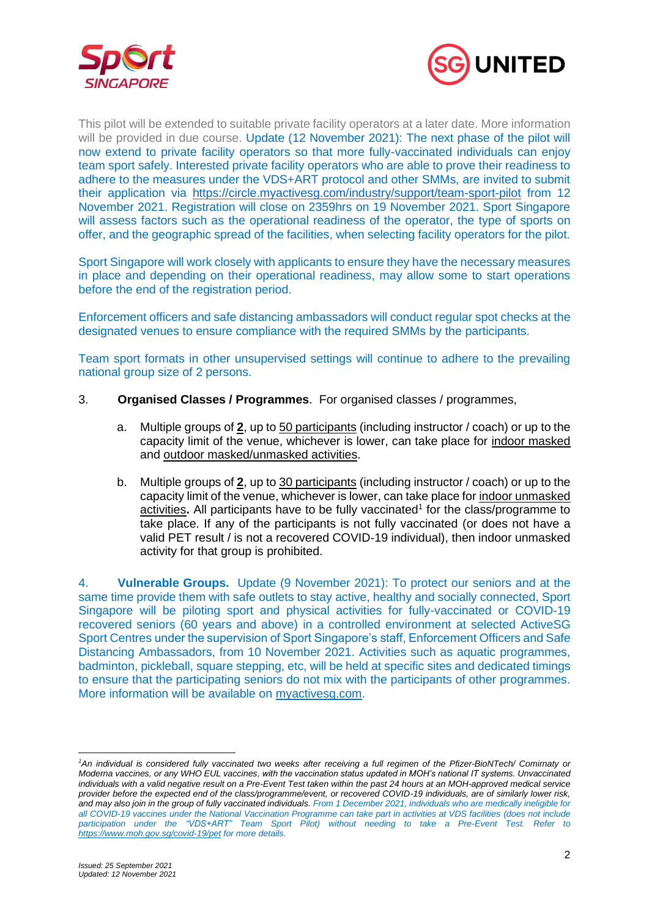



This pilot will be extended to suitable private facility operators at a later date. More information will be provided in due course. Update (12 November 2021): The next phase of the pilot will now extend to private facility operators so that more fully-vaccinated individuals can enjoy team sport safely. Interested private facility operators who are able to prove their readiness to adhere to the measures under the VDS+ART protocol and other SMMs, are invited to submit their application via<https://circle.myactivesg.com/industry/support/team-sport-pilot> from 12 November 2021. Registration will close on 2359hrs on 19 November 2021. Sport Singapore will assess factors such as the operational readiness of the operator, the type of sports on offer, and the geographic spread of the facilities, when selecting facility operators for the pilot.

Sport Singapore will work closely with applicants to ensure they have the necessary measures in place and depending on their operational readiness, may allow some to start operations before the end of the registration period.

Enforcement officers and safe distancing ambassadors will conduct regular spot checks at the designated venues to ensure compliance with the required SMMs by the participants.

Team sport formats in other unsupervised settings will continue to adhere to the prevailing national group size of 2 persons.

- 3. **Organised Classes / Programmes**. For organised classes / programmes,
	- a. Multiple groups of **2**, up to 50 participants (including instructor / coach) or up to the capacity limit of the venue, whichever is lower, can take place for indoor masked and outdoor masked/unmasked activities.
	- b. Multiple groups of **2**, up to 30 participants (including instructor / coach) or up to the capacity limit of the venue, whichever is lower, can take place for indoor unmasked activities. All participants have to be fully vaccinated<sup>1</sup> for the class/programme to take place. If any of the participants is not fully vaccinated (or does not have a valid PET result / is not a recovered COVID-19 individual), then indoor unmasked activity for that group is prohibited.

4. **Vulnerable Groups.** Update (9 November 2021): To protect our seniors and at the same time provide them with safe outlets to stay active, healthy and socially connected, Sport Singapore will be piloting sport and physical activities for fully-vaccinated or COVID-19 recovered seniors (60 years and above) in a controlled environment at selected ActiveSG Sport Centres under the supervision of Sport Singapore's staff, Enforcement Officers and Safe Distancing Ambassadors, from 10 November 2021. Activities such as aquatic programmes, badminton, pickleball, square stepping, etc, will be held at specific sites and dedicated timings to ensure that the participating seniors do not mix with the participants of other programmes. More information will be available on [myactivesg.com.](https://www.myactivesg.com/)

*<sup>1</sup>An individual is considered fully vaccinated two weeks after receiving a full regimen of the Pfizer-BioNTech/ Comirnaty or Moderna vaccines, or any WHO EUL vaccines, with the vaccination status updated in MOH's national IT systems. Unvaccinated individuals with a valid negative result on a Pre-Event Test taken within the past 24 hours at an MOH-approved medical service provider before the expected end of the class/programme/event, or recovered COVID-19 individuals, are of similarly lower risk, and may also join in the group of fully vaccinated individuals. From 1 December 2021, individuals who are medically ineligible for all COVID-19 vaccines under the National Vaccination Programme can take part in activities at VDS facilities (does not include participation under the "VDS+ART" Team Sport Pilot) without needing to take a Pre-Event Test. Refer to <https://www.moh.gov.sg/covid-19/pet> for more details.*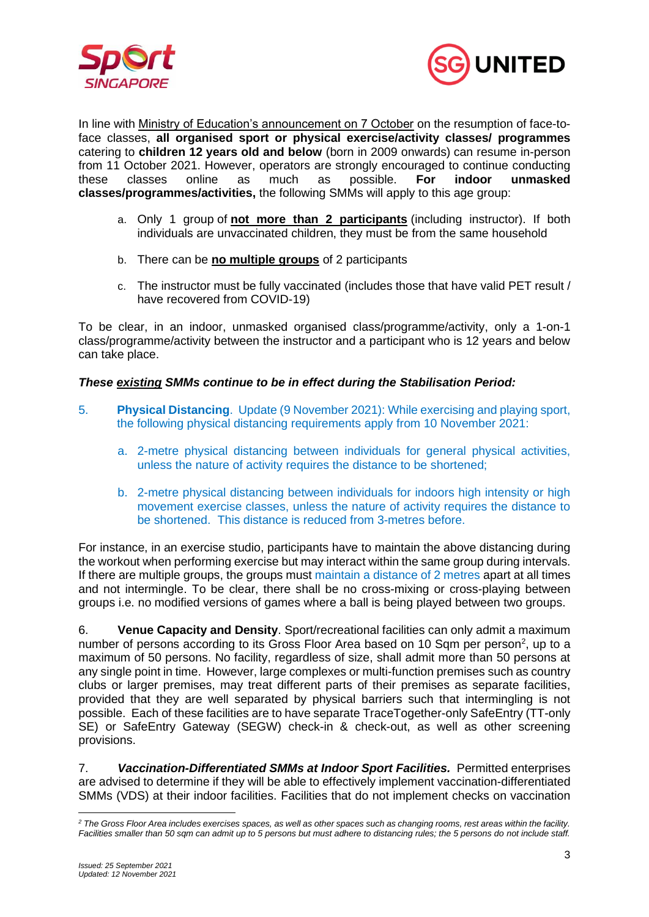



In line with [Ministry of Education's announcement on 7 October](https://www.moe.gov.sg/news/press-releases/20211007-phased-resumption-of-face-to-face-lessons-for-primary-schools-from-11-october) on the resumption of face-toface classes, **all organised sport or physical exercise/activity classes/ programmes** catering to **children 12 years old and below** (born in 2009 onwards) can resume in-person from 11 October 2021. However, operators are strongly encouraged to continue conducting these classes online as much as possible. **For indoor unmasked classes/programmes/activities,** the following SMMs will apply to this age group:

- a. Only 1 group of **not more than 2 participants** (including instructor). If both individuals are unvaccinated children, they must be from the same household
- b. There can be **no multiple groups** of 2 participants
- c. The instructor must be fully vaccinated (includes those that have valid PET result / have recovered from COVID-19)

To be clear, in an indoor, unmasked organised class/programme/activity, only a 1-on-1 class/programme/activity between the instructor and a participant who is 12 years and below can take place.

#### *These existing SMMs continue to be in effect during the Stabilisation Period:*

- 5. **Physical Distancing**. Update (9 November 2021): While exercising and playing sport, the following physical distancing requirements apply from 10 November 2021:
	- a. 2-metre physical distancing between individuals for general physical activities, unless the nature of activity requires the distance to be shortened;
	- b. 2-metre physical distancing between individuals for indoors high intensity or high movement exercise classes, unless the nature of activity requires the distance to be shortened. This distance is reduced from 3-metres before.

For instance, in an exercise studio, participants have to maintain the above distancing during the workout when performing exercise but may interact within the same group during intervals. If there are multiple groups, the groups must maintain a distance of 2 metres apart at all times and not intermingle. To be clear, there shall be no cross-mixing or cross-playing between groups i.e. no modified versions of games where a ball is being played between two groups.

6. **Venue Capacity and Density**. Sport/recreational facilities can only admit a maximum number of persons according to its Gross Floor Area based on 10 Sqm per person<sup>2</sup>, up to a maximum of 50 persons. No facility, regardless of size, shall admit more than 50 persons at any single point in time. However, large complexes or multi-function premises such as country clubs or larger premises, may treat different parts of their premises as separate facilities, provided that they are well separated by physical barriers such that intermingling is not possible. Each of these facilities are to have separate TraceTogether-only SafeEntry (TT-only SE) or SafeEntry Gateway (SEGW) check-in & check-out, as well as other screening provisions.

7. *Vaccination-Differentiated SMMs at Indoor Sport Facilities.* Permitted enterprises are advised to determine if they will be able to effectively implement vaccination-differentiated SMMs (VDS) at their indoor facilities. Facilities that do not implement checks on vaccination

*<sup>2</sup> The Gross Floor Area includes exercises spaces, as well as other spaces such as changing rooms, rest areas within the facility. Facilities smaller than 50 sqm can admit up to 5 persons but must adhere to distancing rules; the 5 persons do not include staff.*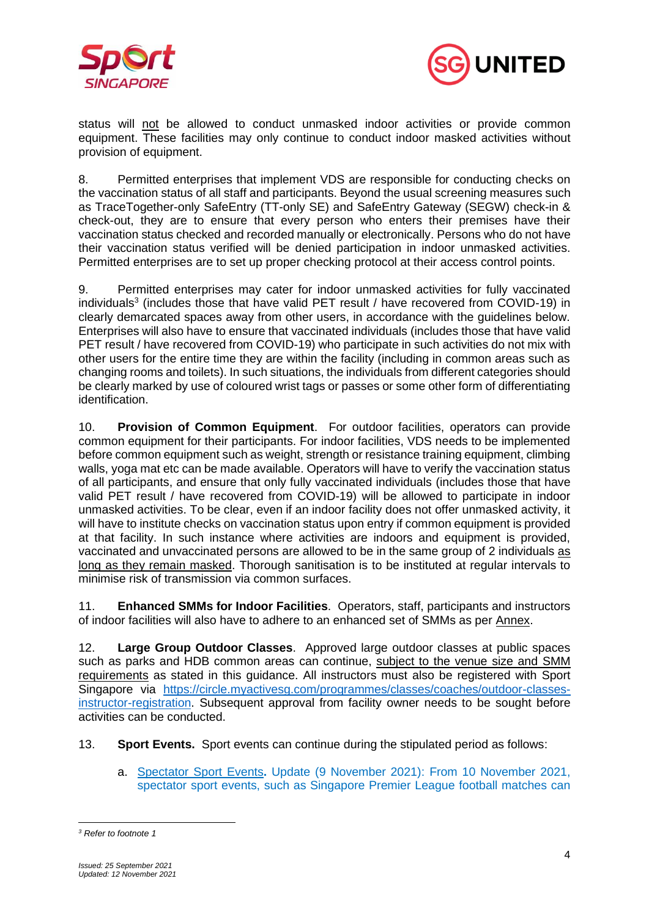



status will not be allowed to conduct unmasked indoor activities or provide common equipment. These facilities may only continue to conduct indoor masked activities without provision of equipment.

8. Permitted enterprises that implement VDS are responsible for conducting checks on the vaccination status of all staff and participants. Beyond the usual screening measures such as TraceTogether-only SafeEntry (TT-only SE) and SafeEntry Gateway (SEGW) check-in & check-out, they are to ensure that every person who enters their premises have their vaccination status checked and recorded manually or electronically. Persons who do not have their vaccination status verified will be denied participation in indoor unmasked activities. Permitted enterprises are to set up proper checking protocol at their access control points.

9. Permitted enterprises may cater for indoor unmasked activities for fully vaccinated individuals<sup>3</sup> (includes those that have valid PET result / have recovered from COVID-19) in clearly demarcated spaces away from other users, in accordance with the guidelines below. Enterprises will also have to ensure that vaccinated individuals (includes those that have valid PET result / have recovered from COVID-19) who participate in such activities do not mix with other users for the entire time they are within the facility (including in common areas such as changing rooms and toilets). In such situations, the individuals from different categories should be clearly marked by use of coloured wrist tags or passes or some other form of differentiating identification.

10. **Provision of Common Equipment**. For outdoor facilities, operators can provide common equipment for their participants. For indoor facilities, VDS needs to be implemented before common equipment such as weight, strength or resistance training equipment, climbing walls, yoga mat etc can be made available. Operators will have to verify the vaccination status of all participants, and ensure that only fully vaccinated individuals (includes those that have valid PET result / have recovered from COVID-19) will be allowed to participate in indoor unmasked activities. To be clear, even if an indoor facility does not offer unmasked activity, it will have to institute checks on vaccination status upon entry if common equipment is provided at that facility. In such instance where activities are indoors and equipment is provided, vaccinated and unvaccinated persons are allowed to be in the same group of 2 individuals as long as they remain masked. Thorough sanitisation is to be instituted at regular intervals to minimise risk of transmission via common surfaces.

11. **Enhanced SMMs for Indoor Facilities**. Operators, staff, participants and instructors of indoor facilities will also have to adhere to an enhanced set of SMMs as per Annex.

12. **Large Group Outdoor Classes**. Approved large outdoor classes at public spaces such as parks and HDB common areas can continue, subject to the venue size and SMM requirements as stated in this guidance. All instructors must also be registered with Sport Singapore via [https://circle.myactivesg.com/programmes/classes/coaches/outdoor-classes](https://circle.myactivesg.com/programmes/classes/coaches/outdoor-classes-instructor-registration)[instructor-registration.](https://circle.myactivesg.com/programmes/classes/coaches/outdoor-classes-instructor-registration) Subsequent approval from facility owner needs to be sought before activities can be conducted.

13. **Sport Events.** Sport events can continue during the stipulated period as follows:

a. Spectator Sport Events**.** Update (9 November 2021): From 10 November 2021, spectator sport events, such as Singapore Premier League football matches can

*<sup>3</sup> Refer to footnote 1*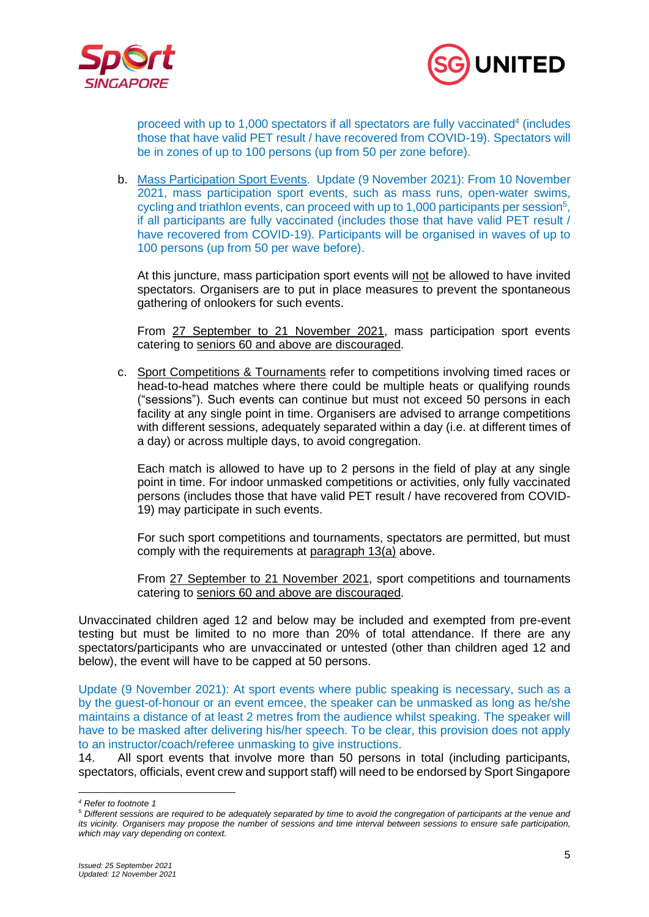



proceed with up to 1,000 spectators if all spectators are fully vaccinated<sup>4</sup> (includes those that have valid PET result / have recovered from COVID-19). Spectators will be in zones of up to 100 persons (up from 50 per zone before).

b. Mass Participation Sport Events. Update (9 November 2021): From 10 November 2021, mass participation sport events, such as mass runs, open-water swims, cycling and triathlon events, can proceed with up to 1,000 participants per session<sup>5</sup>, if all participants are fully vaccinated (includes those that have valid PET result / have recovered from COVID-19). Participants will be organised in waves of up to 100 persons (up from 50 per wave before).

At this juncture, mass participation sport events will not be allowed to have invited spectators. Organisers are to put in place measures to prevent the spontaneous gathering of onlookers for such events.

From 27 September to 21 November 2021, mass participation sport events catering to seniors 60 and above are discouraged.

c. Sport Competitions & Tournaments refer to competitions involving timed races or head-to-head matches where there could be multiple heats or qualifying rounds ("sessions"). Such events can continue but must not exceed 50 persons in each facility at any single point in time. Organisers are advised to arrange competitions with different sessions, adequately separated within a day (i.e. at different times of a day) or across multiple days, to avoid congregation.

Each match is allowed to have up to 2 persons in the field of play at any single point in time. For indoor unmasked competitions or activities, only fully vaccinated persons (includes those that have valid PET result / have recovered from COVID-19) may participate in such events.

For such sport competitions and tournaments, spectators are permitted, but must comply with the requirements at paragraph 13(a) above.

From 27 September to 21 November 2021, sport competitions and tournaments catering to seniors 60 and above are discouraged.

Unvaccinated children aged 12 and below may be included and exempted from pre-event testing but must be limited to no more than 20% of total attendance. If there are any spectators/participants who are unvaccinated or untested (other than children aged 12 and below), the event will have to be capped at 50 persons.

Update (9 November 2021): At sport events where public speaking is necessary, such as a by the guest-of-honour or an event emcee, the speaker can be unmasked as long as he/she maintains a distance of at least 2 metres from the audience whilst speaking. The speaker will have to be masked after delivering his/her speech. To be clear, this provision does not apply to an instructor/coach/referee unmasking to give instructions.

14. All sport events that involve more than 50 persons in total (including participants, spectators, officials, event crew and support staff) will need to be endorsed by Sport Singapore

*<sup>4</sup> Refer to footnote 1*

*<sup>5</sup> Different sessions are required to be adequately separated by time to avoid the congregation of participants at the venue and its vicinity. Organisers may propose the number of sessions and time interval between sessions to ensure safe participation, which may vary depending on context.*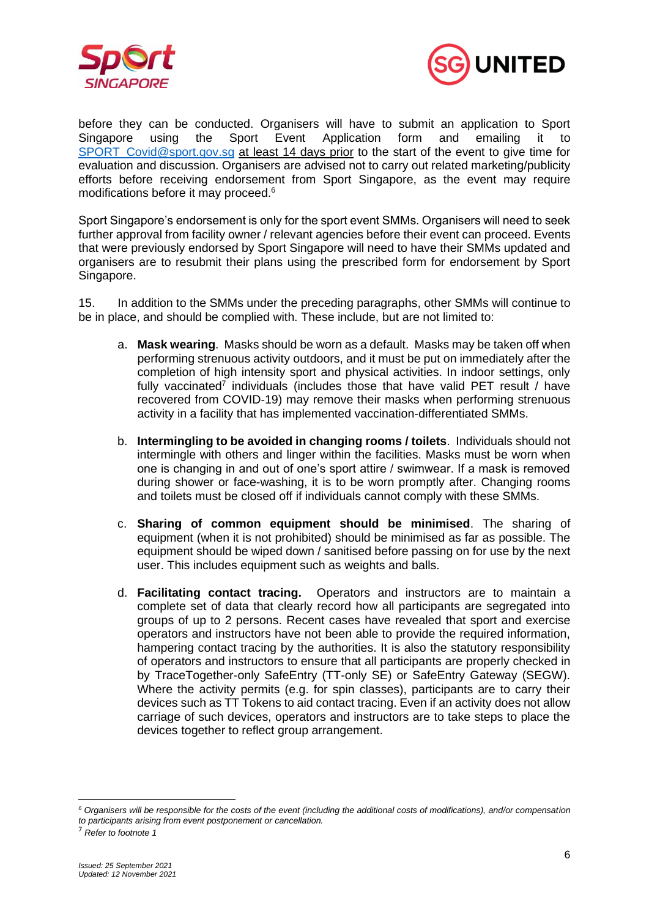



before they can be conducted. Organisers will have to submit an application to Sport Singapore using the Sport Event Application form and emailing it to SPORT Covid@sport.gov.sg at least 14 days prior to the start of the event to give time for evaluation and discussion. Organisers are advised not to carry out related marketing/publicity efforts before receiving endorsement from Sport Singapore, as the event may require modifications before it may proceed.<sup>6</sup>

Sport Singapore's endorsement is only for the sport event SMMs. Organisers will need to seek further approval from facility owner / relevant agencies before their event can proceed. Events that were previously endorsed by Sport Singapore will need to have their SMMs updated and organisers are to resubmit their plans using the prescribed form for endorsement by Sport Singapore.

15. In addition to the SMMs under the preceding paragraphs, other SMMs will continue to be in place, and should be complied with. These include, but are not limited to:

- a. **Mask wearing**. Masks should be worn as a default. Masks may be taken off when performing strenuous activity outdoors, and it must be put on immediately after the completion of high intensity sport and physical activities. In indoor settings, only fully vaccinated<sup>7</sup> individuals (includes those that have valid PET result / have recovered from COVID-19) may remove their masks when performing strenuous activity in a facility that has implemented vaccination-differentiated SMMs.
- b. **Intermingling to be avoided in changing rooms / toilets**. Individuals should not intermingle with others and linger within the facilities. Masks must be worn when one is changing in and out of one's sport attire / swimwear. If a mask is removed during shower or face-washing, it is to be worn promptly after. Changing rooms and toilets must be closed off if individuals cannot comply with these SMMs.
- c. **Sharing of common equipment should be minimised**. The sharing of equipment (when it is not prohibited) should be minimised as far as possible. The equipment should be wiped down / sanitised before passing on for use by the next user. This includes equipment such as weights and balls.
- d. **Facilitating contact tracing.** Operators and instructors are to maintain a complete set of data that clearly record how all participants are segregated into groups of up to 2 persons. Recent cases have revealed that sport and exercise operators and instructors have not been able to provide the required information, hampering contact tracing by the authorities. It is also the statutory responsibility of operators and instructors to ensure that all participants are properly checked in by TraceTogether-only SafeEntry (TT-only SE) or SafeEntry Gateway (SEGW). Where the activity permits (e.g. for spin classes), participants are to carry their devices such as TT Tokens to aid contact tracing. Even if an activity does not allow carriage of such devices, operators and instructors are to take steps to place the devices together to reflect group arrangement.

*<sup>6</sup> Organisers will be responsible for the costs of the event (including the additional costs of modifications), and/or compensation to participants arising from event postponement or cancellation.*

<sup>7</sup> *Refer to footnote 1*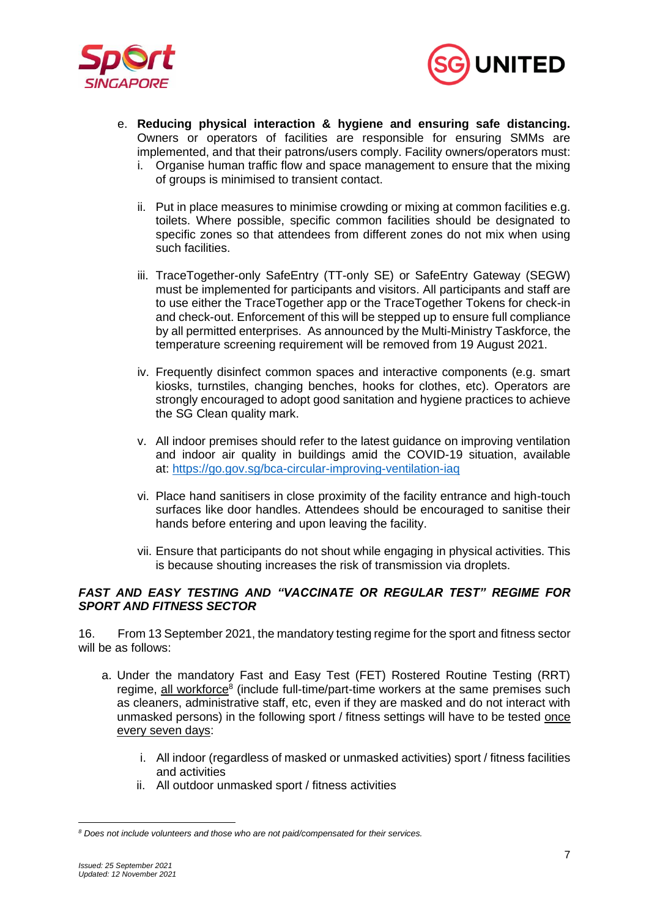



- e. **Reducing physical interaction & hygiene and ensuring safe distancing.** Owners or operators of facilities are responsible for ensuring SMMs are implemented, and that their patrons/users comply. Facility owners/operators must:
	- i. Organise human traffic flow and space management to ensure that the mixing of groups is minimised to transient contact.
	- ii. Put in place measures to minimise crowding or mixing at common facilities e.g. toilets. Where possible, specific common facilities should be designated to specific zones so that attendees from different zones do not mix when using such facilities.
	- iii. TraceTogether-only SafeEntry (TT-only SE) or SafeEntry Gateway (SEGW) must be implemented for participants and visitors. All participants and staff are to use either the TraceTogether app or the TraceTogether Tokens for check-in and check-out. Enforcement of this will be stepped up to ensure full compliance by all permitted enterprises. As announced by the Multi-Ministry Taskforce, the temperature screening requirement will be removed from 19 August 2021.
	- iv. Frequently disinfect common spaces and interactive components (e.g. smart kiosks, turnstiles, changing benches, hooks for clothes, etc). Operators are strongly encouraged to adopt good sanitation and hygiene practices to achieve the SG Clean quality mark.
	- v. All indoor premises should refer to the latest guidance on improving ventilation and indoor air quality in buildings amid the COVID-19 situation, available at: <https://go.gov.sg/bca-circular-improving-ventilation-iaq>
	- vi. Place hand sanitisers in close proximity of the facility entrance and high-touch surfaces like door handles. Attendees should be encouraged to sanitise their hands before entering and upon leaving the facility.
	- vii. Ensure that participants do not shout while engaging in physical activities. This is because shouting increases the risk of transmission via droplets.

### *FAST AND EASY TESTING AND "VACCINATE OR REGULAR TEST" REGIME FOR SPORT AND FITNESS SECTOR*

16. From 13 September 2021, the mandatory testing regime for the sport and fitness sector will be as follows:

- a. Under the mandatory Fast and Easy Test (FET) Rostered Routine Testing (RRT) regime, all workforce<sup>8</sup> (include full-time/part-time workers at the same premises such as cleaners, administrative staff, etc, even if they are masked and do not interact with unmasked persons) in the following sport / fitness settings will have to be tested once every seven days:
	- i. All indoor (regardless of masked or unmasked activities) sport / fitness facilities and activities
	- ii. All outdoor unmasked sport / fitness activities

*<sup>8</sup> Does not include volunteers and those who are not paid/compensated for their services.*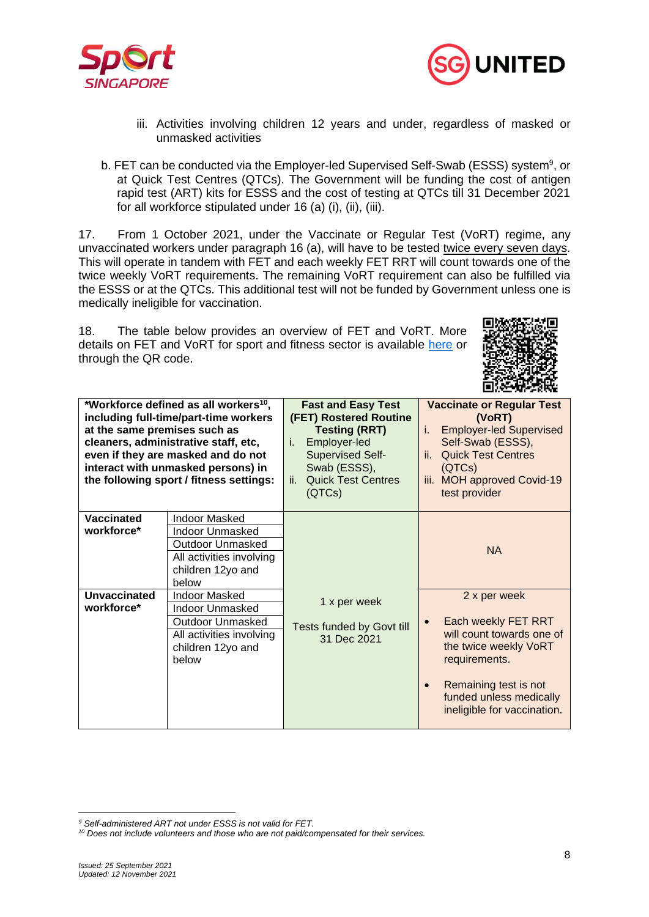



- iii. Activities involving children 12 years and under, regardless of masked or unmasked activities
- b. FET can be conducted via the Employer-led Supervised Self-Swab (ESSS) system<sup>9</sup>, or at Quick Test Centres (QTCs). The Government will be funding the cost of antigen rapid test (ART) kits for ESSS and the cost of testing at QTCs till 31 December 2021 for all workforce stipulated under 16 (a) (i), (ii), (iii).

17. From 1 October 2021, under the Vaccinate or Regular Test (VoRT) regime, any unvaccinated workers under paragraph 16 (a), will have to be tested twice every seven days. This will operate in tandem with FET and each weekly FET RRT will count towards one of the twice weekly VoRT requirements. The remaining VoRT requirement can also be fulfilled via the ESSS or at the QTCs. This additional test will not be funded by Government unless one is medically ineligible for vaccination.

18. The table below provides an overview of FET and VoRT. More details on FET and VoRT for sport and fitness sector is available [here](https://www.sportsingapore.gov.sg/Newsroom/Media-Releases/2021/June/(Updated-25-Sep-2021)-Fast-And-Easy-Testing-and-%E2%80%9CVORT%E2%80%9D-Regime-For-Sport-And-Fitness-Sector) or through the QR code.



| *Workforce defined as all workers <sup>10</sup> ,<br>including full-time/part-time workers<br>at the same premises such as<br>cleaners, administrative staff, etc,<br>even if they are masked and do not<br>interact with unmasked persons) in<br>the following sport / fitness settings: |                                                                                                                                     | <b>Fast and Easy Test</b><br>(FET) Rostered Routine<br><b>Testing (RRT)</b><br>Employer-led<br>i.<br><b>Supervised Self-</b><br>Swab (ESSS),<br><b>Quick Test Centres</b><br>ii.<br>(QTCs) | <b>Vaccinate or Regular Test</b><br>(VoRT)<br><b>Employer-led Supervised</b><br>i.<br>Self-Swab (ESSS),<br><b>Quick Test Centres</b><br>ii.<br>(QTCs)<br>iii. MOH approved Covid-19<br>test provider |
|-------------------------------------------------------------------------------------------------------------------------------------------------------------------------------------------------------------------------------------------------------------------------------------------|-------------------------------------------------------------------------------------------------------------------------------------|--------------------------------------------------------------------------------------------------------------------------------------------------------------------------------------------|------------------------------------------------------------------------------------------------------------------------------------------------------------------------------------------------------|
| <b>Vaccinated</b><br>workforce*                                                                                                                                                                                                                                                           | <b>Indoor Masked</b><br><b>Indoor Unmasked</b><br>Outdoor Unmasked<br>All activities involving<br>children 12yo and<br>below        |                                                                                                                                                                                            | <b>NA</b>                                                                                                                                                                                            |
| <b>Unvaccinated</b><br>workforce*                                                                                                                                                                                                                                                         | <b>Indoor Masked</b><br><b>Indoor Unmasked</b><br><b>Outdoor Unmasked</b><br>All activities involving<br>children 12yo and<br>below | 1 x per week<br>Tests funded by Govt till<br>31 Dec 2021                                                                                                                                   | 2 x per week<br>Each weekly FET RRT<br>will count towards one of<br>the twice weekly VoRT<br>requirements.<br>Remaining test is not<br>funded unless medically<br>ineligible for vaccination.        |

*<sup>9</sup> Self-administered ART not under ESSS is not valid for FET.*

*<sup>10</sup> Does not include volunteers and those who are not paid/compensated for their services.*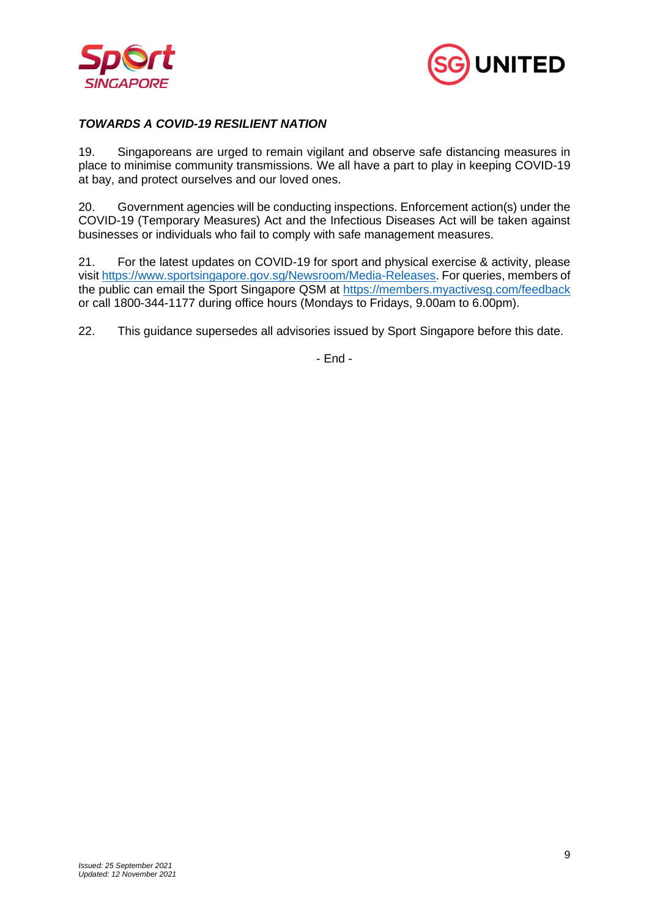



# *TOWARDS A COVID-19 RESILIENT NATION*

19. Singaporeans are urged to remain vigilant and observe safe distancing measures in place to minimise community transmissions. We all have a part to play in keeping COVID-19 at bay, and protect ourselves and our loved ones.

20. Government agencies will be conducting inspections. Enforcement action(s) under the COVID-19 (Temporary Measures) Act and the Infectious Diseases Act will be taken against businesses or individuals who fail to comply with safe management measures.

21. For the latest updates on COVID-19 for sport and physical exercise & activity, please visit [https://www.sportsingapore.gov.sg/Newsroom/Media-Releases.](https://www.sportsingapore.gov.sg/Newsroom/Media-Releases) For queries, members of the public can email the Sport Singapore QSM at<https://members.myactivesg.com/feedback> or call 1800-344-1177 during office hours (Mondays to Fridays, 9.00am to 6.00pm).

22. This guidance supersedes all advisories issued by Sport Singapore before this date.

- End -